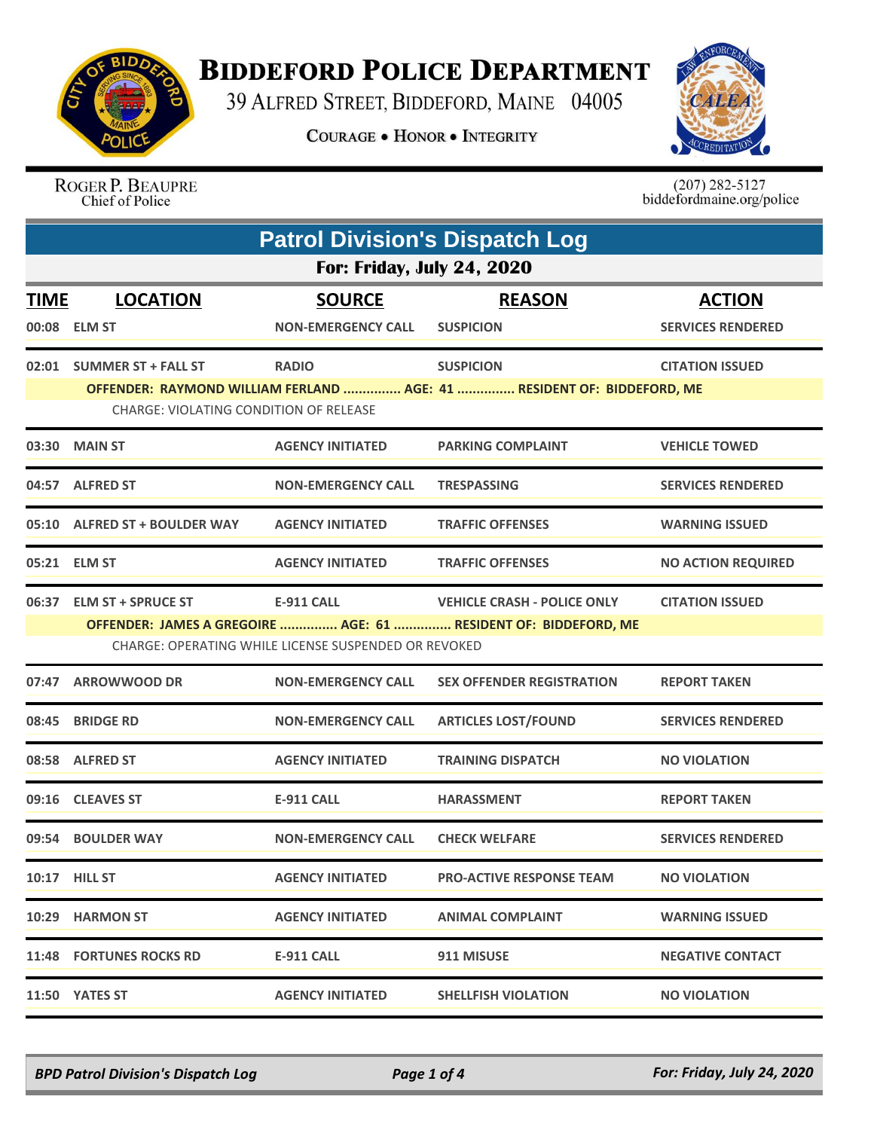

## **BIDDEFORD POLICE DEPARTMENT**

39 ALFRED STREET, BIDDEFORD, MAINE 04005

**COURAGE . HONOR . INTEGRITY** 



ROGER P. BEAUPRE Chief of Police

 $(207)$  282-5127<br>biddefordmaine.org/police

| <b>Patrol Division's Dispatch Log</b> |                                                                                                                                                                                                                                          |                                            |                                                                                            |                                           |  |  |
|---------------------------------------|------------------------------------------------------------------------------------------------------------------------------------------------------------------------------------------------------------------------------------------|--------------------------------------------|--------------------------------------------------------------------------------------------|-------------------------------------------|--|--|
|                                       | <b>For: Friday, July 24, 2020</b>                                                                                                                                                                                                        |                                            |                                                                                            |                                           |  |  |
| <b>TIME</b>                           | <b>LOCATION</b><br>00:08 ELM ST                                                                                                                                                                                                          | <b>SOURCE</b><br><b>NON-EMERGENCY CALL</b> | <b>REASON</b><br><b>SUSPICION</b>                                                          | <b>ACTION</b><br><b>SERVICES RENDERED</b> |  |  |
|                                       | 02:01 SUMMER ST + FALL ST<br>CHARGE: VIOLATING CONDITION OF RELEASE                                                                                                                                                                      | <b>RADIO</b>                               | <b>SUSPICION</b><br>OFFENDER: RAYMOND WILLIAM FERLAND  AGE: 41  RESIDENT OF: BIDDEFORD, ME | <b>CITATION ISSUED</b>                    |  |  |
| 03:30                                 | <b>MAIN ST</b>                                                                                                                                                                                                                           | <b>AGENCY INITIATED</b>                    | <b>PARKING COMPLAINT</b>                                                                   | <b>VEHICLE TOWED</b>                      |  |  |
|                                       | 04:57 ALFRED ST                                                                                                                                                                                                                          | <b>NON-EMERGENCY CALL</b>                  | <b>TRESPASSING</b>                                                                         | <b>SERVICES RENDERED</b>                  |  |  |
|                                       | 05:10 ALFRED ST + BOULDER WAY                                                                                                                                                                                                            | <b>AGENCY INITIATED</b>                    | <b>TRAFFIC OFFENSES</b>                                                                    | <b>WARNING ISSUED</b>                     |  |  |
|                                       | 05:21 ELM ST                                                                                                                                                                                                                             | <b>AGENCY INITIATED</b>                    | <b>TRAFFIC OFFENSES</b>                                                                    | <b>NO ACTION REQUIRED</b>                 |  |  |
|                                       | 06:37 ELM ST + SPRUCE ST<br><b>E-911 CALL</b><br><b>VEHICLE CRASH - POLICE ONLY</b><br><b>CITATION ISSUED</b><br>OFFENDER: JAMES A GREGOIRE  AGE: 61  RESIDENT OF: BIDDEFORD, ME<br>CHARGE: OPERATING WHILE LICENSE SUSPENDED OR REVOKED |                                            |                                                                                            |                                           |  |  |
|                                       | 07:47 ARROWWOOD DR                                                                                                                                                                                                                       | <b>NON-EMERGENCY CALL</b>                  | <b>SEX OFFENDER REGISTRATION</b>                                                           | <b>REPORT TAKEN</b>                       |  |  |
| 08:45                                 | <b>BRIDGE RD</b>                                                                                                                                                                                                                         | <b>NON-EMERGENCY CALL</b>                  | <b>ARTICLES LOST/FOUND</b>                                                                 | <b>SERVICES RENDERED</b>                  |  |  |
|                                       | 08:58 ALFRED ST                                                                                                                                                                                                                          | <b>AGENCY INITIATED</b>                    | <b>TRAINING DISPATCH</b>                                                                   | <b>NO VIOLATION</b>                       |  |  |
|                                       | 09:16 CLEAVES ST                                                                                                                                                                                                                         | <b>E-911 CALL</b>                          | <b>HARASSMENT</b>                                                                          | <b>REPORT TAKEN</b>                       |  |  |
|                                       | 09:54 BOULDER WAY                                                                                                                                                                                                                        | <b>NON-EMERGENCY CALL</b>                  | <b>CHECK WELFARE</b>                                                                       | <b>SERVICES RENDERED</b>                  |  |  |
|                                       | <b>10:17 HILL ST</b>                                                                                                                                                                                                                     | <b>AGENCY INITIATED</b>                    | <b>PRO-ACTIVE RESPONSE TEAM</b>                                                            | <b>NO VIOLATION</b>                       |  |  |
|                                       | 10:29 HARMON ST                                                                                                                                                                                                                          | <b>AGENCY INITIATED</b>                    | <b>ANIMAL COMPLAINT</b>                                                                    | <b>WARNING ISSUED</b>                     |  |  |
|                                       | 11:48 FORTUNES ROCKS RD                                                                                                                                                                                                                  | <b>E-911 CALL</b>                          | 911 MISUSE                                                                                 | <b>NEGATIVE CONTACT</b>                   |  |  |
|                                       | 11:50 YATES ST                                                                                                                                                                                                                           | <b>AGENCY INITIATED</b>                    | <b>SHELLFISH VIOLATION</b>                                                                 | <b>NO VIOLATION</b>                       |  |  |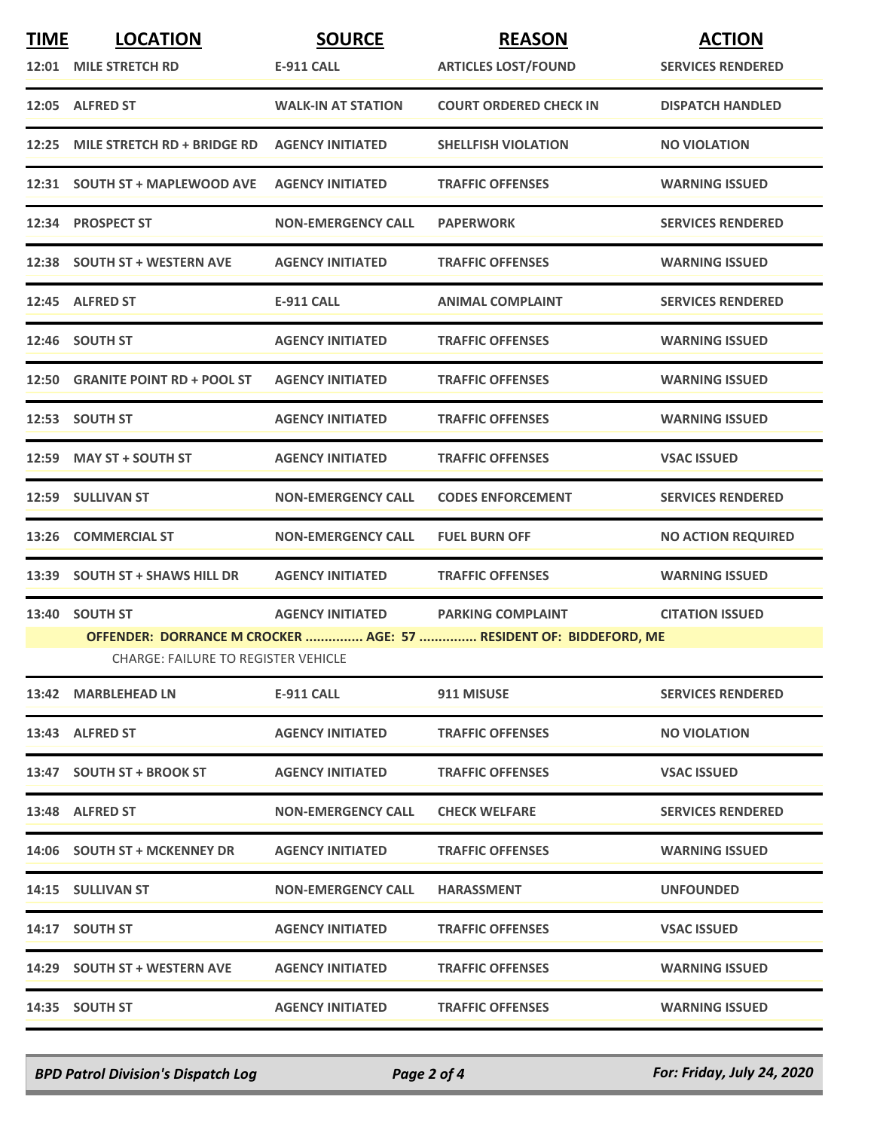| <b>TIME</b> | <b>LOCATION</b><br>12:01 MILE STRETCH RD   | <b>SOURCE</b><br><b>E-911 CALL</b> | <b>REASON</b><br><b>ARTICLES LOST/FOUND</b>                                                   | <b>ACTION</b><br><b>SERVICES RENDERED</b> |  |  |
|-------------|--------------------------------------------|------------------------------------|-----------------------------------------------------------------------------------------------|-------------------------------------------|--|--|
|             | 12:05 ALFRED ST                            | <b>WALK-IN AT STATION</b>          | <b>COURT ORDERED CHECK IN</b>                                                                 | <b>DISPATCH HANDLED</b>                   |  |  |
| 12:25       | MILE STRETCH RD + BRIDGE RD                | <b>AGENCY INITIATED</b>            | <b>SHELLFISH VIOLATION</b>                                                                    | <b>NO VIOLATION</b>                       |  |  |
|             | 12:31 SOUTH ST + MAPLEWOOD AVE             | <b>AGENCY INITIATED</b>            | <b>TRAFFIC OFFENSES</b>                                                                       | <b>WARNING ISSUED</b>                     |  |  |
|             | 12:34 PROSPECT ST                          | <b>NON-EMERGENCY CALL</b>          | <b>PAPERWORK</b>                                                                              | <b>SERVICES RENDERED</b>                  |  |  |
|             | 12:38 SOUTH ST + WESTERN AVE               | <b>AGENCY INITIATED</b>            | <b>TRAFFIC OFFENSES</b>                                                                       | <b>WARNING ISSUED</b>                     |  |  |
|             | 12:45 ALFRED ST                            | E-911 CALL                         | <b>ANIMAL COMPLAINT</b>                                                                       | <b>SERVICES RENDERED</b>                  |  |  |
|             | 12:46 SOUTH ST                             | <b>AGENCY INITIATED</b>            | <b>TRAFFIC OFFENSES</b>                                                                       | <b>WARNING ISSUED</b>                     |  |  |
|             | 12:50 GRANITE POINT RD + POOL ST           | <b>AGENCY INITIATED</b>            | <b>TRAFFIC OFFENSES</b>                                                                       | <b>WARNING ISSUED</b>                     |  |  |
|             | 12:53 SOUTH ST                             | <b>AGENCY INITIATED</b>            | <b>TRAFFIC OFFENSES</b>                                                                       | <b>WARNING ISSUED</b>                     |  |  |
|             | 12:59 MAY ST + SOUTH ST                    | <b>AGENCY INITIATED</b>            | <b>TRAFFIC OFFENSES</b>                                                                       | <b>VSAC ISSUED</b>                        |  |  |
|             | 12:59 SULLIVAN ST                          | <b>NON-EMERGENCY CALL</b>          | <b>CODES ENFORCEMENT</b>                                                                      | <b>SERVICES RENDERED</b>                  |  |  |
| 13:26       | <b>COMMERCIAL ST</b>                       | <b>NON-EMERGENCY CALL</b>          | <b>FUEL BURN OFF</b>                                                                          | <b>NO ACTION REQUIRED</b>                 |  |  |
|             | 13:39 SOUTH ST + SHAWS HILL DR             | <b>AGENCY INITIATED</b>            | <b>TRAFFIC OFFENSES</b>                                                                       | <b>WARNING ISSUED</b>                     |  |  |
|             | 13:40 SOUTH ST                             | <b>AGENCY INITIATED</b>            | <b>PARKING COMPLAINT</b><br>OFFENDER: DORRANCE M CROCKER  AGE: 57  RESIDENT OF: BIDDEFORD, ME | <b>CITATION ISSUED</b>                    |  |  |
|             | <b>CHARGE: FAILURE TO REGISTER VEHICLE</b> |                                    |                                                                                               |                                           |  |  |
|             | 13:42 MARBLEHEAD LN                        | E-911 CALL                         | 911 MISUSE                                                                                    | <b>SERVICES RENDERED</b>                  |  |  |
|             | 13:43 ALFRED ST                            | <b>AGENCY INITIATED</b>            | <b>TRAFFIC OFFENSES</b>                                                                       | <b>NO VIOLATION</b>                       |  |  |
|             | 13:47 SOUTH ST + BROOK ST                  | <b>AGENCY INITIATED</b>            | <b>TRAFFIC OFFENSES</b>                                                                       | <b>VSAC ISSUED</b>                        |  |  |
|             | 13:48 ALFRED ST                            | <b>NON-EMERGENCY CALL</b>          | <b>CHECK WELFARE</b>                                                                          | <b>SERVICES RENDERED</b>                  |  |  |
|             | 14:06 SOUTH ST + MCKENNEY DR               | <b>AGENCY INITIATED</b>            | <b>TRAFFIC OFFENSES</b>                                                                       | <b>WARNING ISSUED</b>                     |  |  |
|             | 14:15 SULLIVAN ST                          | <b>NON-EMERGENCY CALL</b>          | <b>HARASSMENT</b>                                                                             | <b>UNFOUNDED</b>                          |  |  |
|             | 14:17 SOUTH ST                             | <b>AGENCY INITIATED</b>            | <b>TRAFFIC OFFENSES</b>                                                                       | <b>VSAC ISSUED</b>                        |  |  |
|             | 14:29 SOUTH ST + WESTERN AVE               | <b>AGENCY INITIATED</b>            | <b>TRAFFIC OFFENSES</b>                                                                       | <b>WARNING ISSUED</b>                     |  |  |
|             | 14:35 SOUTH ST                             | <b>AGENCY INITIATED</b>            | <b>TRAFFIC OFFENSES</b>                                                                       | <b>WARNING ISSUED</b>                     |  |  |

*BPD Patrol Division's Dispatch Log Page 2 of 4 For: Friday, July 24, 2020*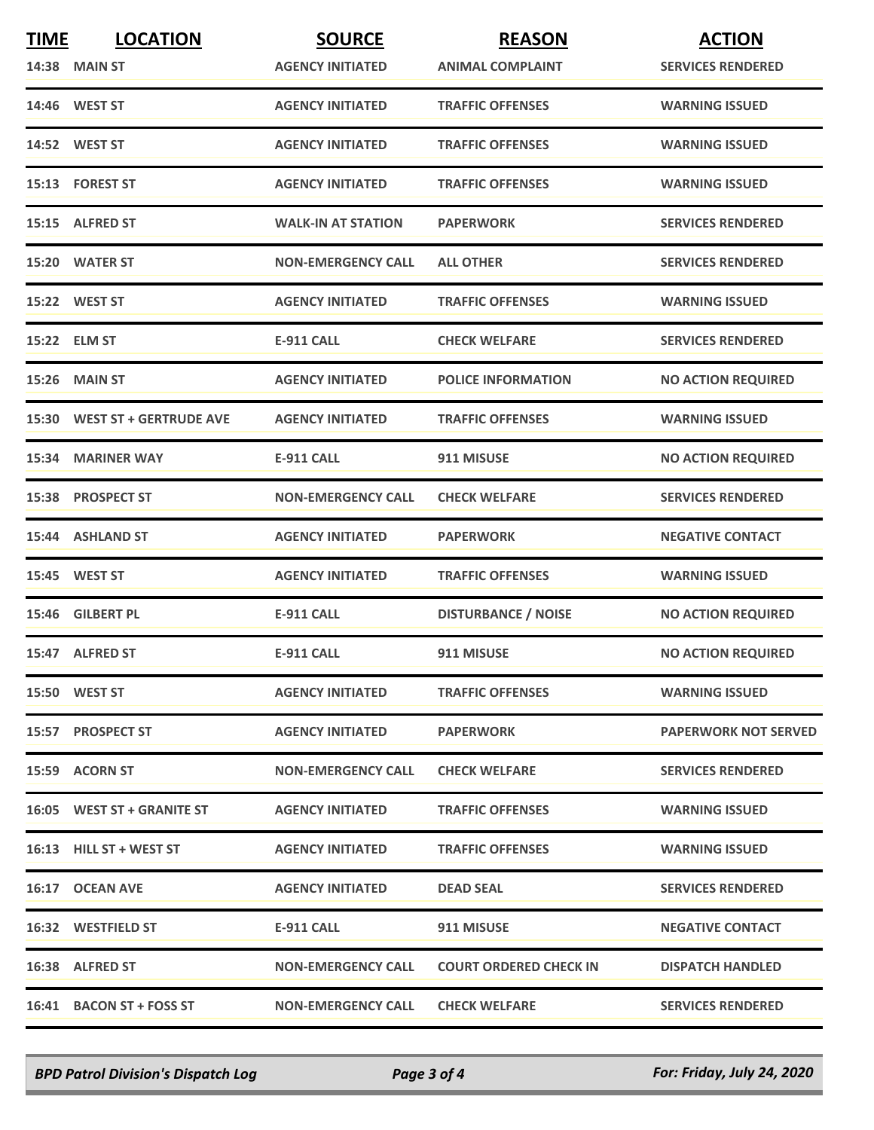| <b>TIME</b> | <b>LOCATION</b>              | <b>SOURCE</b>             | <b>REASON</b>                 | <b>ACTION</b>               |
|-------------|------------------------------|---------------------------|-------------------------------|-----------------------------|
|             | <b>14:38 MAIN ST</b>         | <b>AGENCY INITIATED</b>   | <b>ANIMAL COMPLAINT</b>       | <b>SERVICES RENDERED</b>    |
|             | 14:46 WEST ST                | <b>AGENCY INITIATED</b>   | <b>TRAFFIC OFFENSES</b>       | <b>WARNING ISSUED</b>       |
|             | 14:52 WEST ST                | <b>AGENCY INITIATED</b>   | <b>TRAFFIC OFFENSES</b>       | <b>WARNING ISSUED</b>       |
|             | 15:13 FOREST ST              | <b>AGENCY INITIATED</b>   | <b>TRAFFIC OFFENSES</b>       | <b>WARNING ISSUED</b>       |
|             | 15:15 ALFRED ST              | <b>WALK-IN AT STATION</b> | <b>PAPERWORK</b>              | <b>SERVICES RENDERED</b>    |
|             | 15:20 WATER ST               | <b>NON-EMERGENCY CALL</b> | <b>ALL OTHER</b>              | <b>SERVICES RENDERED</b>    |
|             | 15:22 WEST ST                | <b>AGENCY INITIATED</b>   | <b>TRAFFIC OFFENSES</b>       | <b>WARNING ISSUED</b>       |
|             | 15:22 ELM ST                 | <b>E-911 CALL</b>         | <b>CHECK WELFARE</b>          | <b>SERVICES RENDERED</b>    |
|             | 15:26 MAIN ST                | <b>AGENCY INITIATED</b>   | <b>POLICE INFORMATION</b>     | <b>NO ACTION REQUIRED</b>   |
|             | 15:30 WEST ST + GERTRUDE AVE | <b>AGENCY INITIATED</b>   | <b>TRAFFIC OFFENSES</b>       | <b>WARNING ISSUED</b>       |
|             | 15:34 MARINER WAY            | <b>E-911 CALL</b>         | 911 MISUSE                    | <b>NO ACTION REQUIRED</b>   |
|             | 15:38 PROSPECT ST            | <b>NON-EMERGENCY CALL</b> | <b>CHECK WELFARE</b>          | <b>SERVICES RENDERED</b>    |
|             | 15:44 ASHLAND ST             | <b>AGENCY INITIATED</b>   | <b>PAPERWORK</b>              | <b>NEGATIVE CONTACT</b>     |
|             | 15:45 WEST ST                | <b>AGENCY INITIATED</b>   | <b>TRAFFIC OFFENSES</b>       | <b>WARNING ISSUED</b>       |
|             | 15:46 GILBERT PL             | <b>E-911 CALL</b>         | <b>DISTURBANCE / NOISE</b>    | <b>NO ACTION REQUIRED</b>   |
|             | 15:47 ALFRED ST              | <b>E-911 CALL</b>         | 911 MISUSE                    | <b>NO ACTION REQUIRED</b>   |
|             | 15:50 WEST ST                | <b>AGENCY INITIATED</b>   | <b>TRAFFIC OFFENSES</b>       | <b>WARNING ISSUED</b>       |
|             | 15:57 PROSPECT ST            | <b>AGENCY INITIATED</b>   | <b>PAPERWORK</b>              | <b>PAPERWORK NOT SERVED</b> |
|             | 15:59 ACORN ST               | <b>NON-EMERGENCY CALL</b> | <b>CHECK WELFARE</b>          | <b>SERVICES RENDERED</b>    |
|             | 16:05 WEST ST + GRANITE ST   | <b>AGENCY INITIATED</b>   | <b>TRAFFIC OFFENSES</b>       | <b>WARNING ISSUED</b>       |
|             | 16:13 HILL ST + WEST ST      | <b>AGENCY INITIATED</b>   | <b>TRAFFIC OFFENSES</b>       | <b>WARNING ISSUED</b>       |
|             | 16:17 OCEAN AVE              | <b>AGENCY INITIATED</b>   | <b>DEAD SEAL</b>              | <b>SERVICES RENDERED</b>    |
|             | <b>16:32 WESTFIELD ST</b>    | E-911 CALL                | 911 MISUSE                    | <b>NEGATIVE CONTACT</b>     |
|             | 16:38 ALFRED ST              | <b>NON-EMERGENCY CALL</b> | <b>COURT ORDERED CHECK IN</b> | <b>DISPATCH HANDLED</b>     |
|             | 16:41 BACON ST + FOSS ST     | <b>NON-EMERGENCY CALL</b> | <b>CHECK WELFARE</b>          | <b>SERVICES RENDERED</b>    |

*BPD Patrol Division's Dispatch Log Page 3 of 4 For: Friday, July 24, 2020*